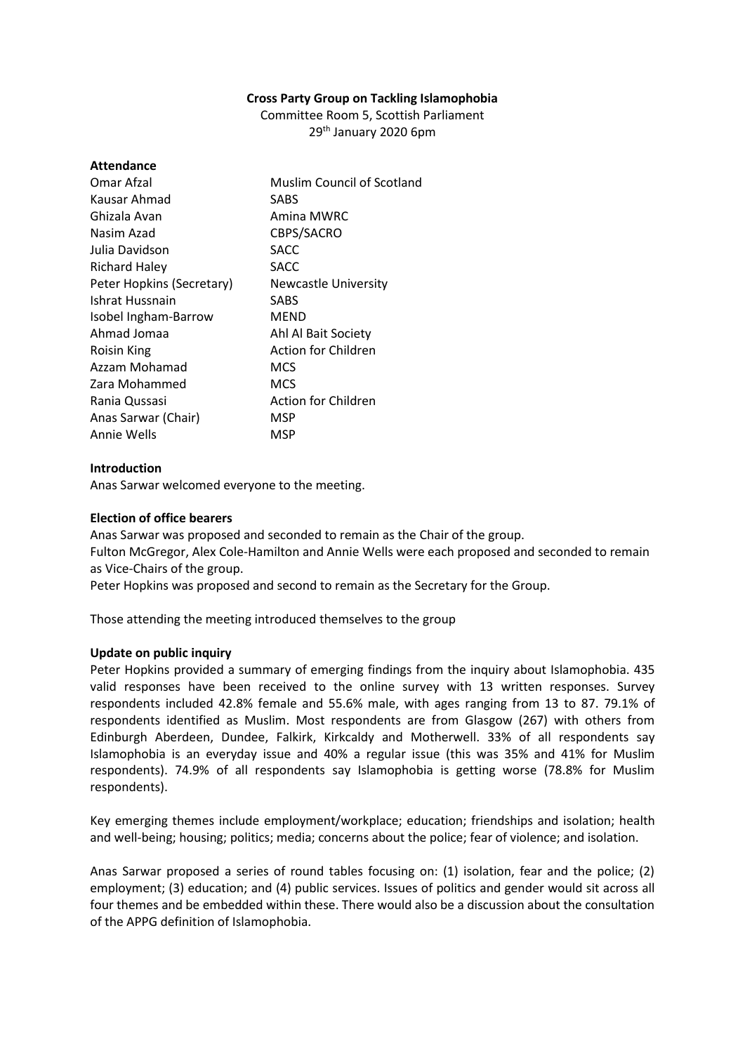## **Cross Party Group on Tackling Islamophobia**

Committee Room 5, Scottish Parliament 29th January 2020 6pm

| <b>Attendance</b>         |                             |
|---------------------------|-----------------------------|
| Omar Afzal                | Muslim Council of Scotland  |
| Kausar Ahmad              | SABS                        |
| Ghizala Avan              | Amina MWRC                  |
| Nasim Azad                | CBPS/SACRO                  |
| Julia Davidson            | SACC                        |
| <b>Richard Haley</b>      | SACC                        |
| Peter Hopkins (Secretary) | <b>Newcastle University</b> |
| Ishrat Hussnain           | SABS                        |
| Isobel Ingham-Barrow      | <b>MEND</b>                 |
| Ahmad Jomaa               | Ahl Al Bait Society         |
| Roisin King               | <b>Action for Children</b>  |
| Azzam Mohamad             | MCS                         |
| Zara Mohammed             | MCS                         |
| Rania Qussasi             | <b>Action for Children</b>  |
| Anas Sarwar (Chair)       | MSP                         |
| Annie Wells               | MSP                         |
|                           |                             |

# **Introduction**

Anas Sarwar welcomed everyone to the meeting.

# **Election of office bearers**

Anas Sarwar was proposed and seconded to remain as the Chair of the group. Fulton McGregor, Alex Cole-Hamilton and Annie Wells were each proposed and seconded to remain as Vice-Chairs of the group.

Peter Hopkins was proposed and second to remain as the Secretary for the Group.

Those attending the meeting introduced themselves to the group

# **Update on public inquiry**

Peter Hopkins provided a summary of emerging findings from the inquiry about Islamophobia. 435 valid responses have been received to the online survey with 13 written responses. Survey respondents included 42.8% female and 55.6% male, with ages ranging from 13 to 87. 79.1% of respondents identified as Muslim. Most respondents are from Glasgow (267) with others from Edinburgh Aberdeen, Dundee, Falkirk, Kirkcaldy and Motherwell. 33% of all respondents say Islamophobia is an everyday issue and 40% a regular issue (this was 35% and 41% for Muslim respondents). 74.9% of all respondents say Islamophobia is getting worse (78.8% for Muslim respondents).

Key emerging themes include employment/workplace; education; friendships and isolation; health and well-being; housing; politics; media; concerns about the police; fear of violence; and isolation.

Anas Sarwar proposed a series of round tables focusing on: (1) isolation, fear and the police; (2) employment; (3) education; and (4) public services. Issues of politics and gender would sit across all four themes and be embedded within these. There would also be a discussion about the consultation of the APPG definition of Islamophobia.